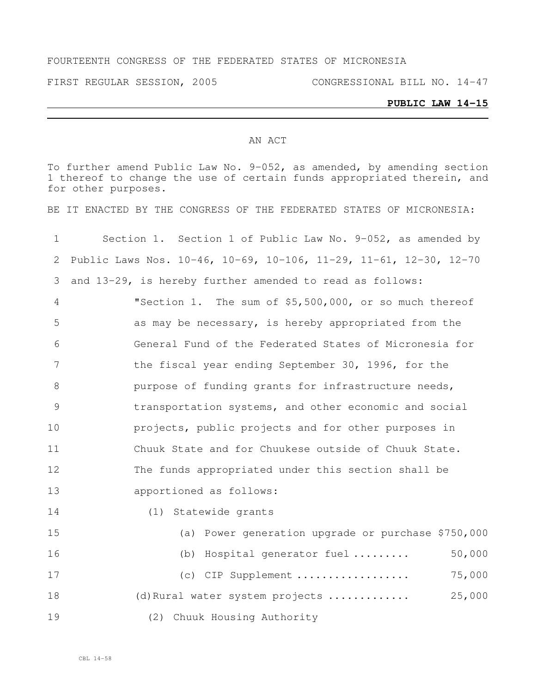#### FOURTEENTH CONGRESS OF THE FEDERATED STATES OF MICRONESIA

FIRST REGULAR SESSION, 2005 CONGRESSIONAL BILL NO. 14-47

# **PUBLIC LAW 14-15**

#### AN ACT

To further amend Public Law No. 9-052, as amended, by amending section thereof to change the use of certain funds appropriated therein, and for other purposes.

BE IT ENACTED BY THE CONGRESS OF THE FEDERATED STATES OF MICRONESIA:

| $\mathbf 1$     | Section 1. Section 1 of Public Law No. 9-052, as amended by       |
|-----------------|-------------------------------------------------------------------|
| 2               | Public Laws Nos. 10-46, 10-69, 10-106, 11-29, 11-61, 12-30, 12-70 |
| 3               | and 13-29, is hereby further amended to read as follows:          |
| 4               | "Section 1. The sum of \$5,500,000, or so much thereof            |
| 5               | as may be necessary, is hereby appropriated from the              |
| 6               | General Fund of the Federated States of Micronesia for            |
| $7\phantom{.0}$ | the fiscal year ending September 30, 1996, for the                |
| 8               | purpose of funding grants for infrastructure needs,               |
| 9               | transportation systems, and other economic and social             |
| 10              | projects, public projects and for other purposes in               |
| 11              | Chuuk State and for Chuukese outside of Chuuk State.              |
| 12              | The funds appropriated under this section shall be                |
| 13              | apportioned as follows:                                           |
| 14              | (1) Statewide grants                                              |
| 15              | (a) Power generation upgrade or purchase \$750,000                |
| 16              | 50,000<br>(b) Hospital generator fuel                             |
| 17              | 75,000<br>(c) CIP Supplement                                      |
| 18              | 25,000<br>(d) Rural water system projects                         |
| 19              | (2) Chuuk Housing Authority                                       |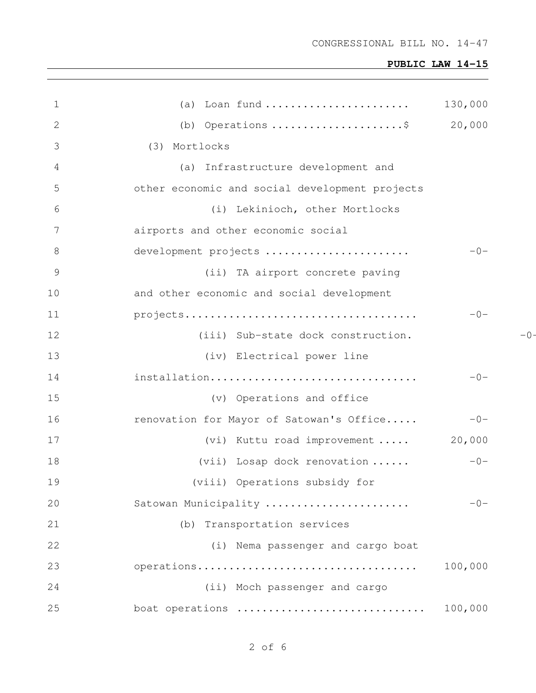| $\mathbf 1$     | (a) Loan fund                                  | 130,000 |       |
|-----------------|------------------------------------------------|---------|-------|
| 2               | (b) Operations \$                              | 20,000  |       |
| 3               | (3) Mortlocks                                  |         |       |
| 4               | (a) Infrastructure development and             |         |       |
| 5               | other economic and social development projects |         |       |
| 6               | (i) Lekinioch, other Mortlocks                 |         |       |
| $7\phantom{.0}$ | airports and other economic social             |         |       |
| 8               | development projects                           | $-0-$   |       |
| $\overline{9}$  | (ii) TA airport concrete paving                |         |       |
| 10              | and other economic and social development      |         |       |
| 11              |                                                | $-0-$   |       |
| 12              | (iii) Sub-state dock construction.             |         | $-0-$ |
| 13              | (iv) Electrical power line                     |         |       |
| 14              | installation                                   | $-0-$   |       |
| 15              | (v) Operations and office                      |         |       |
| 16              | renovation for Mayor of Satowan's Office       | $-0-$   |       |
| 17              | (vi) Kuttu road improvement                    | 20,000  |       |
| 18              | $(vii)$ Losap dock renovation                  | $-0-$   |       |
| 19              | (viii) Operations subsidy for                  |         |       |
| 20              | Satowan Municipality                           | $-0-$   |       |
| 21              | (b) Transportation services                    |         |       |
| 22              | (i) Nema passenger and cargo boat              |         |       |
| 23              | operations                                     | 100,000 |       |
| 24              | (ii) Moch passenger and cargo                  |         |       |
| 25              | boat operations                                | 100,000 |       |

of 6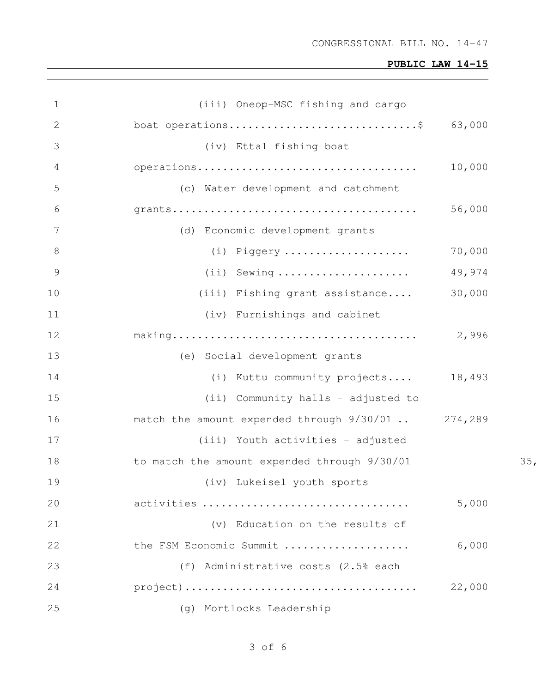| $\mathbf 1$    | (iii) Oneop-MSC fishing and cargo                                                                   |        |                 |
|----------------|-----------------------------------------------------------------------------------------------------|--------|-----------------|
| 2              | boat operations\$ $63,000$                                                                          |        |                 |
| 3              | (iv) Ettal fishing boat                                                                             |        |                 |
| 4              |                                                                                                     | 10,000 |                 |
| 5              | (c) Water development and catchment                                                                 |        |                 |
| 6              | $grants \ldots \ldots \ldots \ldots \ldots \ldots \ldots \ldots \ldots \ldots \ldots \ldots \ldots$ | 56,000 |                 |
| 7              | (d) Economic development grants                                                                     |        |                 |
| 8              | (i) Piggery                                                                                         | 70,000 |                 |
| $\overline{9}$ | $(i)$ Sewing                                                                                        | 49,974 |                 |
| 10             | (iii) Fishing grant assistance                                                                      | 30,000 |                 |
| 11             | (iv) Furnishings and cabinet                                                                        |        |                 |
| 12             |                                                                                                     | 2,996  |                 |
| 13             | (e) Social development grants                                                                       |        |                 |
| 14             | (i) Kuttu community projects                                                                        | 18,493 |                 |
| 15             | (ii) Community halls - adjusted to                                                                  |        |                 |
| 16             | match the amount expended through $9/30/01$ 274,289                                                 |        |                 |
| 17             | (iii) Youth activities - adjusted                                                                   |        |                 |
| 18             | to match the amount expended through 9/30/01                                                        |        | 35 <sub>1</sub> |
| 19             | (iv) Lukeisel youth sports                                                                          |        |                 |
| 20             | activities                                                                                          | 5,000  |                 |
| 21             | (v) Education on the results of                                                                     |        |                 |
| 22             | the FSM Economic Summit                                                                             | 6,000  |                 |
| 23             | (f) Administrative costs (2.5% each                                                                 |        |                 |
| 24             |                                                                                                     | 22,000 |                 |
| 25             | (g) Mortlocks Leadership                                                                            |        |                 |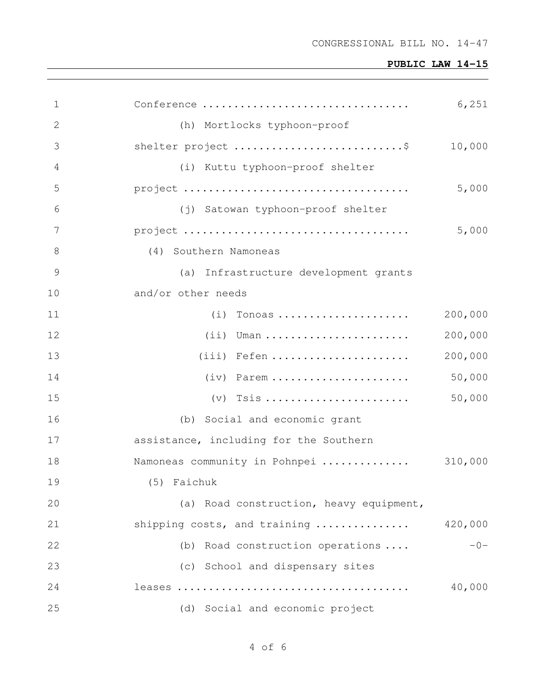| 1     | Conference                              | 6,251   |
|-------|-----------------------------------------|---------|
| 2     | (h) Mortlocks typhoon-proof             |         |
| 3     | shelter project \$                      | 10,000  |
| 4     | (i) Kuttu typhoon-proof shelter         |         |
| 5     |                                         | 5,000   |
| 6     | (j) Satowan typhoon-proof shelter       |         |
| 7     |                                         | 5,000   |
| $8\,$ | (4) Southern Namoneas                   |         |
| 9     | (a) Infrastructure development grants   |         |
| 10    | and/or other needs                      |         |
| 11    | $(i)$ Tonoas                            | 200,000 |
| 12    | $(i)$ Uman                              | 200,000 |
| 13    | $(iii)$ Fefen                           | 200,000 |
| 14    | $(iv)$ Parem                            | 50,000  |
| 15    |                                         | 50,000  |
| 16    | (b) Social and economic grant           |         |
| 17    | assistance, including for the Southern  |         |
| 18    | Namoneas community in Pohnpei           | 310,000 |
| 19    | (5) Faichuk                             |         |
| 20    | (a) Road construction, heavy equipment, |         |
| 21    | shipping costs, and training            | 420,000 |
| 22    | (b) Road construction operations        | $-0-$   |
| 23    | (c) School and dispensary sites         |         |
| 24    |                                         | 40,000  |
| 25    | (d) Social and economic project         |         |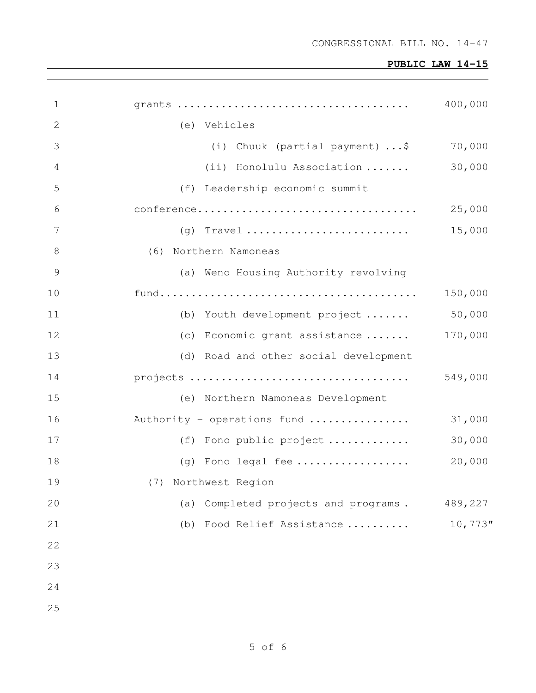| $\mathbf 1$    |                                         | 400,000    |
|----------------|-----------------------------------------|------------|
| $\mathbf{2}$   | (e) Vehicles                            |            |
| 3              | (i) Chuuk (partial payment) \$          | 70,000     |
| 4              | (ii) Honolulu Association               | 30,000     |
| 5              | (f) Leadership economic summit          |            |
| 6              |                                         | 25,000     |
| $\overline{7}$ |                                         | 15,000     |
| $8\,$          | (6) Northern Namoneas                   |            |
| $\mathcal{G}$  | (a) Weno Housing Authority revolving    |            |
| 10             |                                         | 150,000    |
| 11             | (b) Youth development project           | 50,000     |
| 12             | (c) Economic grant assistance           | 170,000    |
| 13             | (d) Road and other social development   |            |
| 14             |                                         | 549,000    |
| 15             | (e) Northern Namoneas Development       |            |
| 16             | Authority - operations fund             | 31,000     |
| 17             | (f) Fono public project                 | 30,000     |
| 18             | $(g)$ Fono legal fee                    | 20,000     |
| 19             | (7) Northwest Region                    |            |
| 20             | Completed projects and programs.<br>(a) | 489,227    |
| 21             | Food Relief Assistance<br>(b)           | $10,773$ " |
| 22             |                                         |            |
| 23             |                                         |            |
| 24             |                                         |            |
| 25             |                                         |            |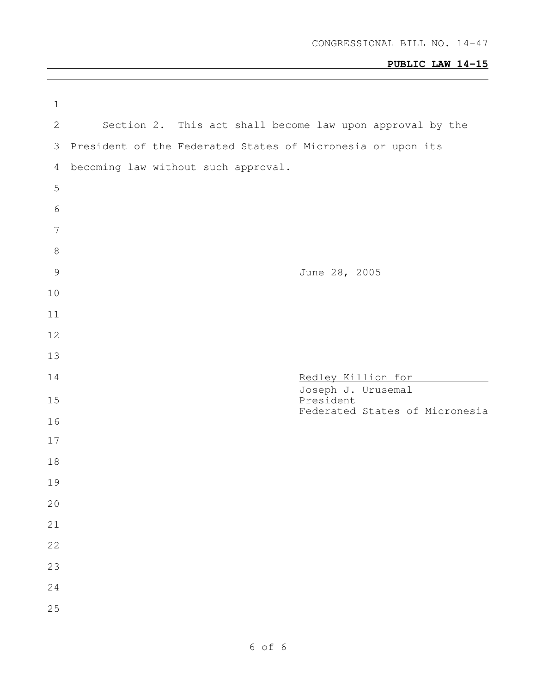| $\mathbf 1$     |                                                             |                                                           |                                          |                                |
|-----------------|-------------------------------------------------------------|-----------------------------------------------------------|------------------------------------------|--------------------------------|
| $\mathbf{2}$    |                                                             | Section 2. This act shall become law upon approval by the |                                          |                                |
| 3               | President of the Federated States of Micronesia or upon its |                                                           |                                          |                                |
| 4               | becoming law without such approval.                         |                                                           |                                          |                                |
| 5               |                                                             |                                                           |                                          |                                |
| $\sqrt{6}$      |                                                             |                                                           |                                          |                                |
| $7\phantom{.0}$ |                                                             |                                                           |                                          |                                |
| $\,8\,$         |                                                             |                                                           |                                          |                                |
| $\mathcal{G}$   |                                                             |                                                           | June 28, 2005                            |                                |
| 10              |                                                             |                                                           |                                          |                                |
| 11              |                                                             |                                                           |                                          |                                |
| 12              |                                                             |                                                           |                                          |                                |
| 13              |                                                             |                                                           |                                          |                                |
| 14              |                                                             |                                                           | Redley Killion for<br>Joseph J. Urusemal |                                |
| 15              |                                                             |                                                           | President                                | Federated States of Micronesia |
| 16              |                                                             |                                                           |                                          |                                |
| 17              |                                                             |                                                           |                                          |                                |
| 18              |                                                             |                                                           |                                          |                                |
| 19              |                                                             |                                                           |                                          |                                |
| $20$            |                                                             |                                                           |                                          |                                |
| 21              |                                                             |                                                           |                                          |                                |
| 22              |                                                             |                                                           |                                          |                                |
| 23              |                                                             |                                                           |                                          |                                |
| 24              |                                                             |                                                           |                                          |                                |
| 25              |                                                             |                                                           |                                          |                                |